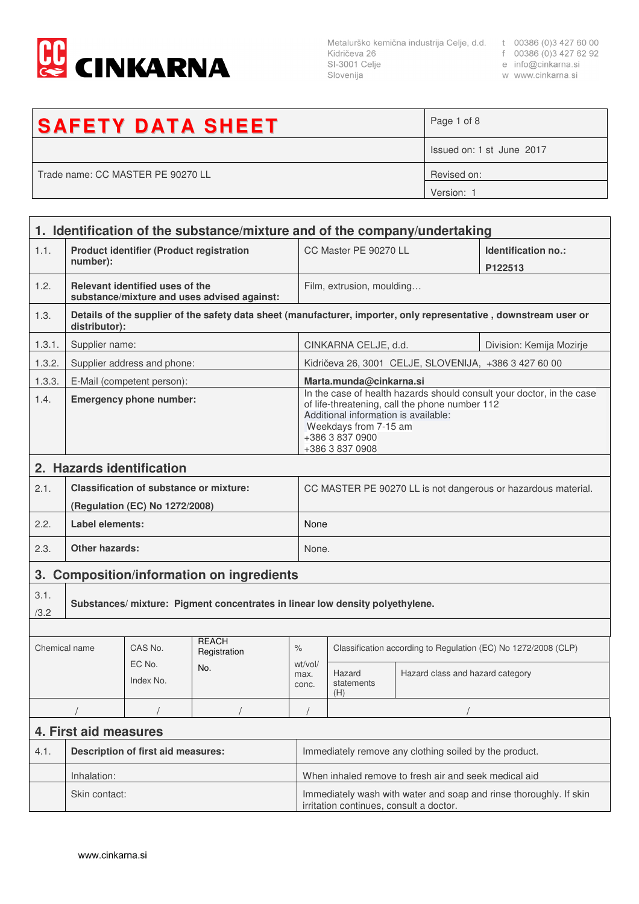

Metalurško kemična industrija Celje, d.d. t 00386 (0)3 427 60 00<br>Kidričeva 26 f 00386 (0)3 427 62 92<br>SI-3001 Celje e info@cinkarna.si<br>Slovenija w www.cinkarna.si Slovenija

- 
- 
- w www.cinkarna.si

| <b>SAFETY DATA SHEET</b>          | Page 1 of 8               |
|-----------------------------------|---------------------------|
|                                   | Issued on: 1 st June 2017 |
| Trade name: CC MASTER PE 90270 LL | Revised on:               |
|                                   | Version:                  |

|                       | 1. Identification of the substance/mixture and of the company/undertaking        |                                                 |                                                       |                                                                                                                                                                                                                                |                                                                |                                                       |                                                                                                                   |  |
|-----------------------|----------------------------------------------------------------------------------|-------------------------------------------------|-------------------------------------------------------|--------------------------------------------------------------------------------------------------------------------------------------------------------------------------------------------------------------------------------|----------------------------------------------------------------|-------------------------------------------------------|-------------------------------------------------------------------------------------------------------------------|--|
| 1.1.                  | number):                                                                         | <b>Product identifier (Product registration</b> |                                                       |                                                                                                                                                                                                                                | CC Master PE 90270 LL                                          |                                                       | Identification no.:<br>P122513                                                                                    |  |
| 1.2.                  |                                                                                  | Relevant identified uses of the                 | substance/mixture and uses advised against:           |                                                                                                                                                                                                                                | Film, extrusion, moulding                                      |                                                       |                                                                                                                   |  |
| 1.3.                  | distributor):                                                                    |                                                 |                                                       |                                                                                                                                                                                                                                |                                                                |                                                       | Details of the supplier of the safety data sheet (manufacturer, importer, only representative, downstream user or |  |
| 1.3.1.                | Supplier name:                                                                   |                                                 |                                                       |                                                                                                                                                                                                                                | CINKARNA CELJE, d.d.<br>Division: Kemija Mozirje               |                                                       |                                                                                                                   |  |
| 1.3.2.                |                                                                                  | Supplier address and phone:                     |                                                       |                                                                                                                                                                                                                                |                                                                | Kidričeva 26, 3001 CELJE, SLOVENIJA, +386 3 427 60 00 |                                                                                                                   |  |
| 1.3.3.                |                                                                                  | E-Mail (competent person):                      |                                                       |                                                                                                                                                                                                                                | Marta.munda@cinkarna.si                                        |                                                       |                                                                                                                   |  |
| 1.4.                  | <b>Emergency phone number:</b>                                                   |                                                 |                                                       | In the case of health hazards should consult your doctor, in the case<br>of life-threatening, call the phone number 112<br>Additional information is available:<br>Weekdays from 7-15 am<br>+386 3 837 0900<br>+386 3 837 0908 |                                                                |                                                       |                                                                                                                   |  |
|                       |                                                                                  | 2. Hazards identification                       |                                                       |                                                                                                                                                                                                                                |                                                                |                                                       |                                                                                                                   |  |
| 2.1.                  | <b>Classification of substance or mixture:</b><br>(Regulation (EC) No 1272/2008) |                                                 |                                                       | CC MASTER PE 90270 LL is not dangerous or hazardous material.                                                                                                                                                                  |                                                                |                                                       |                                                                                                                   |  |
| 2.2.                  | Label elements:                                                                  |                                                 |                                                       |                                                                                                                                                                                                                                | None                                                           |                                                       |                                                                                                                   |  |
| 2.3.                  | <b>Other hazards:</b>                                                            |                                                 |                                                       | None.                                                                                                                                                                                                                          |                                                                |                                                       |                                                                                                                   |  |
| 3.                    | <b>Composition/information on ingredients</b>                                    |                                                 |                                                       |                                                                                                                                                                                                                                |                                                                |                                                       |                                                                                                                   |  |
| 3.1.<br>/3.2          | Substances/mixture: Pigment concentrates in linear low density polyethylene.     |                                                 |                                                       |                                                                                                                                                                                                                                |                                                                |                                                       |                                                                                                                   |  |
|                       |                                                                                  |                                                 |                                                       |                                                                                                                                                                                                                                |                                                                |                                                       |                                                                                                                   |  |
| Chemical name         |                                                                                  | CAS No.                                         | <b>REACH</b><br>Registration                          | $\%$                                                                                                                                                                                                                           | Classification according to Regulation (EC) No 1272/2008 (CLP) |                                                       |                                                                                                                   |  |
|                       |                                                                                  | EC No.<br>Index No.                             | No.                                                   | wt/vol/<br>max.<br>conc.                                                                                                                                                                                                       | Hazard<br>statements<br>(H)                                    | Hazard class and hazard category                      |                                                                                                                   |  |
|                       |                                                                                  |                                                 |                                                       |                                                                                                                                                                                                                                |                                                                |                                                       |                                                                                                                   |  |
| 4. First aid measures |                                                                                  |                                                 |                                                       |                                                                                                                                                                                                                                |                                                                |                                                       |                                                                                                                   |  |
| 4.1.                  | <b>Description of first aid measures:</b>                                        |                                                 |                                                       | Immediately remove any clothing soiled by the product.                                                                                                                                                                         |                                                                |                                                       |                                                                                                                   |  |
|                       | Inhalation:                                                                      |                                                 | When inhaled remove to fresh air and seek medical aid |                                                                                                                                                                                                                                |                                                                |                                                       |                                                                                                                   |  |
|                       | Skin contact:                                                                    |                                                 |                                                       | Immediately wash with water and soap and rinse thoroughly. If skin<br>irritation continues, consult a doctor.                                                                                                                  |                                                                |                                                       |                                                                                                                   |  |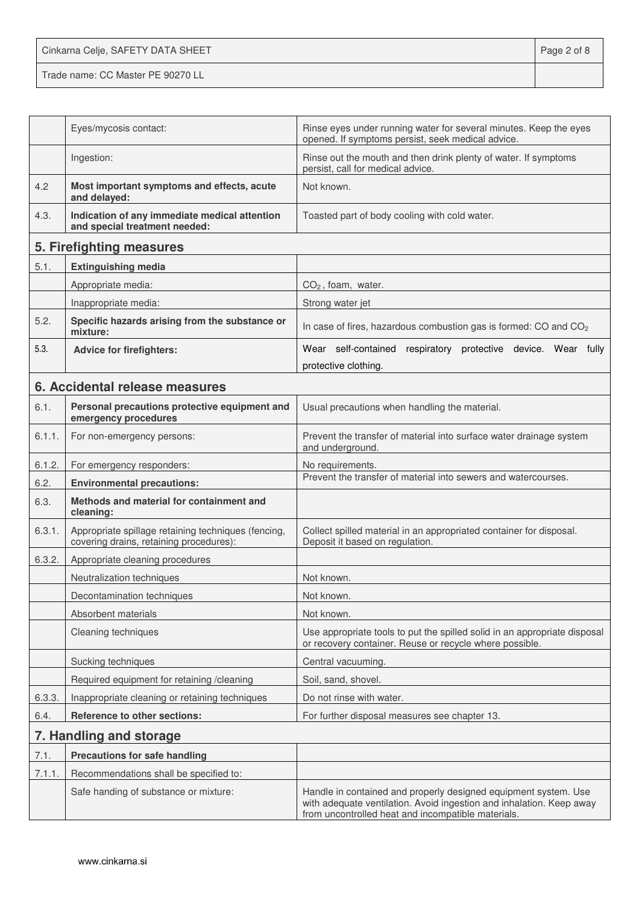Cinkarna Celje, SAFETY DATA SHEET **Page 2 of 8** Trade name: CC Master PE 90270 LL

|        | Eyes/mycosis contact:                                                                          | Rinse eyes under running water for several minutes. Keep the eyes<br>opened. If symptoms persist, seek medical advice.                                                                        |
|--------|------------------------------------------------------------------------------------------------|-----------------------------------------------------------------------------------------------------------------------------------------------------------------------------------------------|
|        | Ingestion:                                                                                     | Rinse out the mouth and then drink plenty of water. If symptoms<br>persist, call for medical advice.                                                                                          |
| 4.2    | Most important symptoms and effects, acute<br>and delayed:                                     | Not known.                                                                                                                                                                                    |
| 4.3.   | Indication of any immediate medical attention<br>and special treatment needed:                 | Toasted part of body cooling with cold water.                                                                                                                                                 |
|        | 5. Firefighting measures                                                                       |                                                                                                                                                                                               |
| 5.1.   | <b>Extinguishing media</b>                                                                     |                                                                                                                                                                                               |
|        | Appropriate media:                                                                             | $CO2$ , foam, water.                                                                                                                                                                          |
|        | Inappropriate media:                                                                           | Strong water jet                                                                                                                                                                              |
| 5.2.   | Specific hazards arising from the substance or<br>mixture:                                     | In case of fires, hazardous combustion gas is formed: CO and CO <sub>2</sub>                                                                                                                  |
| 5.3.   | <b>Advice for firefighters:</b>                                                                | Wear self-contained respiratory protective device. Wear fully                                                                                                                                 |
|        |                                                                                                | protective clothing.                                                                                                                                                                          |
|        | 6. Accidental release measures                                                                 |                                                                                                                                                                                               |
| 6.1.   | Personal precautions protective equipment and<br>emergency procedures                          | Usual precautions when handling the material.                                                                                                                                                 |
| 6.1.1. | For non-emergency persons:                                                                     | Prevent the transfer of material into surface water drainage system<br>and underground.                                                                                                       |
| 6.1.2. | For emergency responders:                                                                      | No requirements.                                                                                                                                                                              |
| 6.2.   | <b>Environmental precautions:</b>                                                              | Prevent the transfer of material into sewers and watercourses.                                                                                                                                |
| 6.3.   | Methods and material for containment and<br>cleaning:                                          |                                                                                                                                                                                               |
| 6.3.1. | Appropriate spillage retaining techniques (fencing,<br>covering drains, retaining procedures): | Collect spilled material in an appropriated container for disposal.<br>Deposit it based on regulation.                                                                                        |
| 6.3.2. | Appropriate cleaning procedures                                                                |                                                                                                                                                                                               |
|        | Neutralization techniques                                                                      | Not known.                                                                                                                                                                                    |
|        | Decontamination techniques                                                                     | Not known.                                                                                                                                                                                    |
|        | Absorbent materials                                                                            | Not known.                                                                                                                                                                                    |
|        | Cleaning techniques                                                                            | Use appropriate tools to put the spilled solid in an appropriate disposal<br>or recovery container. Reuse or recycle where possible.                                                          |
|        | Sucking techniques                                                                             | Central vacuuming.                                                                                                                                                                            |
|        | Required equipment for retaining /cleaning                                                     | Soil, sand, shovel.                                                                                                                                                                           |
| 6.3.3. | Inappropriate cleaning or retaining techniques                                                 | Do not rinse with water.                                                                                                                                                                      |
| 6.4.   | Reference to other sections:                                                                   | For further disposal measures see chapter 13.                                                                                                                                                 |
|        | 7. Handling and storage                                                                        |                                                                                                                                                                                               |
| 7.1.   | <b>Precautions for safe handling</b>                                                           |                                                                                                                                                                                               |
| 7.1.1. | Recommendations shall be specified to:                                                         |                                                                                                                                                                                               |
|        | Safe handing of substance or mixture:                                                          | Handle in contained and properly designed equipment system. Use<br>with adequate ventilation. Avoid ingestion and inhalation. Keep away<br>from uncontrolled heat and incompatible materials. |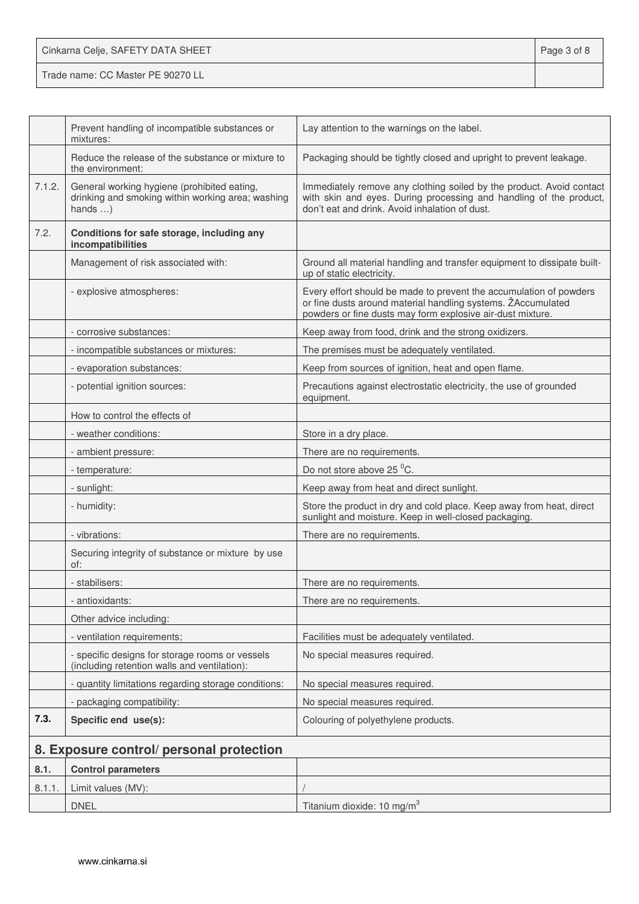| Cinkarna Celje, SAFETY DATA SHEET | Page 3 of 8 |
|-----------------------------------|-------------|
| Trade name: CC Master PE 90270 LL |             |

|        | Prevent handling of incompatible substances or<br>mixtures:                                                         | Lay attention to the warnings on the label.                                                                                                                                                      |
|--------|---------------------------------------------------------------------------------------------------------------------|--------------------------------------------------------------------------------------------------------------------------------------------------------------------------------------------------|
|        | Reduce the release of the substance or mixture to<br>the environment:                                               | Packaging should be tightly closed and upright to prevent leakage.                                                                                                                               |
| 7.1.2. | General working hygiene (prohibited eating,<br>drinking and smoking within working area; washing<br>hands $\dots$ ) | Immediately remove any clothing soiled by the product. Avoid contact<br>with skin and eyes. During processing and handling of the product,<br>don't eat and drink. Avoid inhalation of dust.     |
| 7.2.   | Conditions for safe storage, including any<br>incompatibilities                                                     |                                                                                                                                                                                                  |
|        | Management of risk associated with:                                                                                 | Ground all material handling and transfer equipment to dissipate built-<br>up of static electricity.                                                                                             |
|        | - explosive atmospheres:                                                                                            | Every effort should be made to prevent the accumulation of powders<br>or fine dusts around material handling systems. ŽAccumulated<br>powders or fine dusts may form explosive air-dust mixture. |
|        | - corrosive substances:                                                                                             | Keep away from food, drink and the strong oxidizers.                                                                                                                                             |
|        | - incompatible substances or mixtures:                                                                              | The premises must be adequately ventilated.                                                                                                                                                      |
|        | - evaporation substances:                                                                                           | Keep from sources of ignition, heat and open flame.                                                                                                                                              |
|        | - potential ignition sources:                                                                                       | Precautions against electrostatic electricity, the use of grounded<br>equipment.                                                                                                                 |
|        | How to control the effects of                                                                                       |                                                                                                                                                                                                  |
|        | - weather conditions:                                                                                               | Store in a dry place.                                                                                                                                                                            |
|        | - ambient pressure:                                                                                                 | There are no requirements.                                                                                                                                                                       |
|        | - temperature:                                                                                                      | Do not store above 25 °C.                                                                                                                                                                        |
|        | - sunlight:                                                                                                         | Keep away from heat and direct sunlight.                                                                                                                                                         |
|        | - humidity:                                                                                                         | Store the product in dry and cold place. Keep away from heat, direct<br>sunlight and moisture. Keep in well-closed packaging.                                                                    |
|        | - vibrations:                                                                                                       | There are no requirements.                                                                                                                                                                       |
|        | Securing integrity of substance or mixture by use<br>of:                                                            |                                                                                                                                                                                                  |
|        | - stabilisers:                                                                                                      | There are no requirements.                                                                                                                                                                       |
|        | - antioxidants:                                                                                                     | There are no requirements.                                                                                                                                                                       |
|        | Other advice including:                                                                                             |                                                                                                                                                                                                  |
|        | - ventilation requirements;                                                                                         | Facilities must be adequately ventilated.                                                                                                                                                        |
|        | - specific designs for storage rooms or vessels<br>(including retention walls and ventilation):                     | No special measures required.                                                                                                                                                                    |
|        | - quantity limitations regarding storage conditions:                                                                | No special measures required.                                                                                                                                                                    |
|        | - packaging compatibility:                                                                                          | No special measures required.                                                                                                                                                                    |
| 7.3.   | Specific end use(s):                                                                                                | Colouring of polyethylene products.                                                                                                                                                              |
|        | 8. Exposure control/ personal protection                                                                            |                                                                                                                                                                                                  |
| 8.1.   | <b>Control parameters</b>                                                                                           |                                                                                                                                                                                                  |
| 8.1.1. | Limit values (MV):                                                                                                  |                                                                                                                                                                                                  |
|        | <b>DNEL</b>                                                                                                         | Titanium dioxide: 10 mg/m <sup>3</sup>                                                                                                                                                           |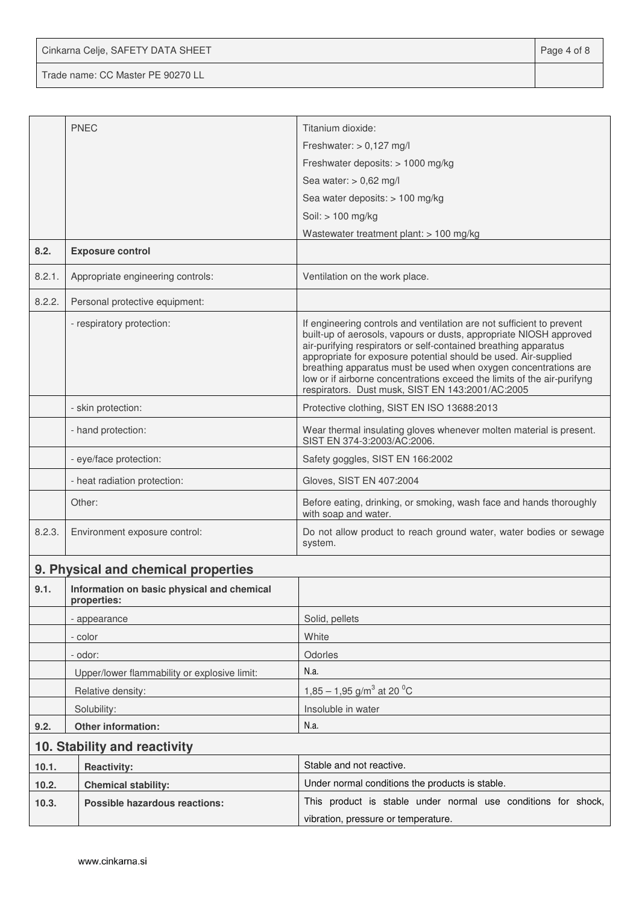Cinkarna Celje, SAFETY DATA SHEET **Page 4 of 8** 

Trade name: CC Master PE 90270 LL

|        | <b>PNEC</b>                                               | Titanium dioxide:                                                                                                                                                                                                                                                                                                                                                                                                                                                                   |  |  |
|--------|-----------------------------------------------------------|-------------------------------------------------------------------------------------------------------------------------------------------------------------------------------------------------------------------------------------------------------------------------------------------------------------------------------------------------------------------------------------------------------------------------------------------------------------------------------------|--|--|
|        |                                                           | Freshwater: $> 0,127$ mg/l                                                                                                                                                                                                                                                                                                                                                                                                                                                          |  |  |
|        |                                                           | Freshwater deposits: > 1000 mg/kg                                                                                                                                                                                                                                                                                                                                                                                                                                                   |  |  |
|        |                                                           | Sea water: $> 0,62$ mg/l                                                                                                                                                                                                                                                                                                                                                                                                                                                            |  |  |
|        |                                                           | Sea water deposits: > 100 mg/kg                                                                                                                                                                                                                                                                                                                                                                                                                                                     |  |  |
|        |                                                           | Soil: > 100 mg/kg                                                                                                                                                                                                                                                                                                                                                                                                                                                                   |  |  |
|        |                                                           | Wastewater treatment plant: > 100 mg/kg                                                                                                                                                                                                                                                                                                                                                                                                                                             |  |  |
| 8.2.   | <b>Exposure control</b>                                   |                                                                                                                                                                                                                                                                                                                                                                                                                                                                                     |  |  |
| 8.2.1. | Appropriate engineering controls:                         | Ventilation on the work place.                                                                                                                                                                                                                                                                                                                                                                                                                                                      |  |  |
| 8.2.2. | Personal protective equipment:                            |                                                                                                                                                                                                                                                                                                                                                                                                                                                                                     |  |  |
|        | - respiratory protection:                                 | If engineering controls and ventilation are not sufficient to prevent<br>built-up of aerosols, vapours or dusts, appropriate NIOSH approved<br>air-purifying respirators or self-contained breathing apparatus<br>appropriate for exposure potential should be used. Air-supplied<br>breathing apparatus must be used when oxygen concentrations are<br>low or if airborne concentrations exceed the limits of the air-purifyng<br>respirators. Dust musk, SIST EN 143:2001/AC:2005 |  |  |
|        | - skin protection:                                        | Protective clothing, SIST EN ISO 13688:2013                                                                                                                                                                                                                                                                                                                                                                                                                                         |  |  |
|        | - hand protection:                                        | Wear thermal insulating gloves whenever molten material is present.<br>SIST EN 374-3:2003/AC:2006.                                                                                                                                                                                                                                                                                                                                                                                  |  |  |
|        | - eye/face protection:                                    | Safety goggles, SIST EN 166:2002                                                                                                                                                                                                                                                                                                                                                                                                                                                    |  |  |
|        | - heat radiation protection:                              | Gloves, SIST EN 407:2004                                                                                                                                                                                                                                                                                                                                                                                                                                                            |  |  |
|        | Other:                                                    | Before eating, drinking, or smoking, wash face and hands thoroughly<br>with soap and water.                                                                                                                                                                                                                                                                                                                                                                                         |  |  |
| 8.2.3. | Environment exposure control:                             | Do not allow product to reach ground water, water bodies or sewage<br>system.                                                                                                                                                                                                                                                                                                                                                                                                       |  |  |
|        | 9. Physical and chemical properties                       |                                                                                                                                                                                                                                                                                                                                                                                                                                                                                     |  |  |
| 9.1.   | Information on basic physical and chemical<br>properties: |                                                                                                                                                                                                                                                                                                                                                                                                                                                                                     |  |  |
|        | - appearance                                              | Solid, pellets                                                                                                                                                                                                                                                                                                                                                                                                                                                                      |  |  |
|        | - color                                                   | White                                                                                                                                                                                                                                                                                                                                                                                                                                                                               |  |  |
|        | - odor:                                                   | Odorles                                                                                                                                                                                                                                                                                                                                                                                                                                                                             |  |  |
|        | Upper/lower flammability or explosive limit:              | N.a.                                                                                                                                                                                                                                                                                                                                                                                                                                                                                |  |  |
|        | Relative density:                                         | $1,85 - 1,95$ g/m <sup>3</sup> at 20 <sup>o</sup> C                                                                                                                                                                                                                                                                                                                                                                                                                                 |  |  |
|        | Solubility:                                               | Insoluble in water                                                                                                                                                                                                                                                                                                                                                                                                                                                                  |  |  |
| 9.2.   | <b>Other information:</b>                                 | N.a.                                                                                                                                                                                                                                                                                                                                                                                                                                                                                |  |  |
|        | 10. Stability and reactivity                              |                                                                                                                                                                                                                                                                                                                                                                                                                                                                                     |  |  |
| 10.1.  | <b>Reactivity:</b>                                        | Stable and not reactive.                                                                                                                                                                                                                                                                                                                                                                                                                                                            |  |  |
| 10.2.  | <b>Chemical stability:</b>                                | Under normal conditions the products is stable.                                                                                                                                                                                                                                                                                                                                                                                                                                     |  |  |
| 10.3.  | <b>Possible hazardous reactions:</b>                      | This product is stable under normal use conditions for shock,                                                                                                                                                                                                                                                                                                                                                                                                                       |  |  |
|        |                                                           | vibration, pressure or temperature.                                                                                                                                                                                                                                                                                                                                                                                                                                                 |  |  |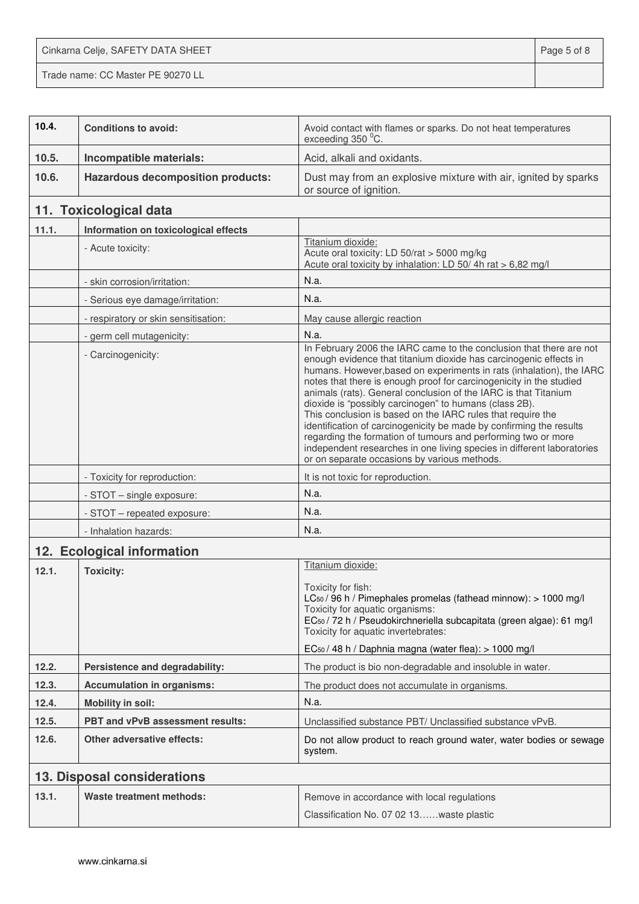Cinkarna Celje, SAFETY DATA SHEET **Page 5 of 8** Trade name: CC Master PE 90270 LL

| 10.4. | <b>Conditions to avoid:</b>              | Avoid contact with flames or sparks. Do not heat temperatures<br>exceeding 350 °C.                                                                                                                                                                                                                                                                                                                                                                                                                                                                                                                                                                                                                                                                    |
|-------|------------------------------------------|-------------------------------------------------------------------------------------------------------------------------------------------------------------------------------------------------------------------------------------------------------------------------------------------------------------------------------------------------------------------------------------------------------------------------------------------------------------------------------------------------------------------------------------------------------------------------------------------------------------------------------------------------------------------------------------------------------------------------------------------------------|
| 10.5. | Incompatible materials:                  | Acid, alkali and oxidants.                                                                                                                                                                                                                                                                                                                                                                                                                                                                                                                                                                                                                                                                                                                            |
| 10.6. | <b>Hazardous decomposition products:</b> | Dust may from an explosive mixture with air, ignited by sparks<br>or source of ignition.                                                                                                                                                                                                                                                                                                                                                                                                                                                                                                                                                                                                                                                              |
|       | 11. Toxicological data                   |                                                                                                                                                                                                                                                                                                                                                                                                                                                                                                                                                                                                                                                                                                                                                       |
| 11.1. | Information on toxicological effects     |                                                                                                                                                                                                                                                                                                                                                                                                                                                                                                                                                                                                                                                                                                                                                       |
|       | - Acute toxicity:                        | Titanium dioxide:<br>Acute oral toxicity: LD 50/rat > 5000 mg/kg<br>Acute oral toxicity by inhalation: LD 50/4h rat > 6,82 mg/l                                                                                                                                                                                                                                                                                                                                                                                                                                                                                                                                                                                                                       |
|       | - skin corrosion/irritation:             | N.a.                                                                                                                                                                                                                                                                                                                                                                                                                                                                                                                                                                                                                                                                                                                                                  |
|       | - Serious eye damage/irritation:         | N.a.                                                                                                                                                                                                                                                                                                                                                                                                                                                                                                                                                                                                                                                                                                                                                  |
|       | - respiratory or skin sensitisation:     | May cause allergic reaction                                                                                                                                                                                                                                                                                                                                                                                                                                                                                                                                                                                                                                                                                                                           |
|       | - germ cell mutagenicity:                | N.a.                                                                                                                                                                                                                                                                                                                                                                                                                                                                                                                                                                                                                                                                                                                                                  |
|       | - Carcinogenicity:                       | In February 2006 the IARC came to the conclusion that there are not<br>enough evidence that titanium dioxide has carcinogenic effects in<br>humans. However, based on experiments in rats (inhalation), the IARC<br>notes that there is enough proof for carcinogenicity in the studied<br>animals (rats). General conclusion of the IARC is that Titanium<br>dioxide is "possibly carcinogen" to humans (class 2B).<br>This conclusion is based on the IARC rules that require the<br>identification of carcinogenicity be made by confirming the results<br>regarding the formation of tumours and performing two or more<br>independent researches in one living species in different laboratories<br>or on separate occasions by various methods. |
|       | - Toxicity for reproduction:             | It is not toxic for reproduction.                                                                                                                                                                                                                                                                                                                                                                                                                                                                                                                                                                                                                                                                                                                     |
|       | - STOT - single exposure:                | N.a.                                                                                                                                                                                                                                                                                                                                                                                                                                                                                                                                                                                                                                                                                                                                                  |
|       | - STOT - repeated exposure:              | N.a.                                                                                                                                                                                                                                                                                                                                                                                                                                                                                                                                                                                                                                                                                                                                                  |
|       | - Inhalation hazards:                    | N.a.                                                                                                                                                                                                                                                                                                                                                                                                                                                                                                                                                                                                                                                                                                                                                  |
|       | 12. Ecological information               |                                                                                                                                                                                                                                                                                                                                                                                                                                                                                                                                                                                                                                                                                                                                                       |
| 12.1. | <b>Toxicity:</b>                         | Titanium dioxide:<br>Toxicity for fish:<br>LC <sub>50</sub> / 96 h / Pimephales promelas (fathead minnow): > 1000 mg/l<br>Toxicity for aquatic organisms:<br>EC <sub>50</sub> / 72 h / Pseudokirchneriella subcapitata (green algae): 61 mg/l<br>Toxicity for aquatic invertebrates:<br>EC <sub>50</sub> / 48 h / Daphnia magna (water flea): > 1000 mg/l                                                                                                                                                                                                                                                                                                                                                                                             |
| 12.2. | Persistence and degradability:           | The product is bio non-degradable and insoluble in water.                                                                                                                                                                                                                                                                                                                                                                                                                                                                                                                                                                                                                                                                                             |
| 12.3. | <b>Accumulation in organisms:</b>        | The product does not accumulate in organisms.                                                                                                                                                                                                                                                                                                                                                                                                                                                                                                                                                                                                                                                                                                         |
| 12.4. | <b>Mobility in soil:</b>                 | N.a.                                                                                                                                                                                                                                                                                                                                                                                                                                                                                                                                                                                                                                                                                                                                                  |
| 12.5. | PBT and vPvB assessment results:         | Unclassified substance PBT/ Unclassified substance vPvB.                                                                                                                                                                                                                                                                                                                                                                                                                                                                                                                                                                                                                                                                                              |
| 12.6. | <b>Other adversative effects:</b>        | Do not allow product to reach ground water, water bodies or sewage<br>system.                                                                                                                                                                                                                                                                                                                                                                                                                                                                                                                                                                                                                                                                         |
|       | 13. Disposal considerations              |                                                                                                                                                                                                                                                                                                                                                                                                                                                                                                                                                                                                                                                                                                                                                       |
| 13.1. | <b>Waste treatment methods:</b>          | Remove in accordance with local regulations<br>Classification No. 07 02 13waste plastic                                                                                                                                                                                                                                                                                                                                                                                                                                                                                                                                                                                                                                                               |
|       |                                          |                                                                                                                                                                                                                                                                                                                                                                                                                                                                                                                                                                                                                                                                                                                                                       |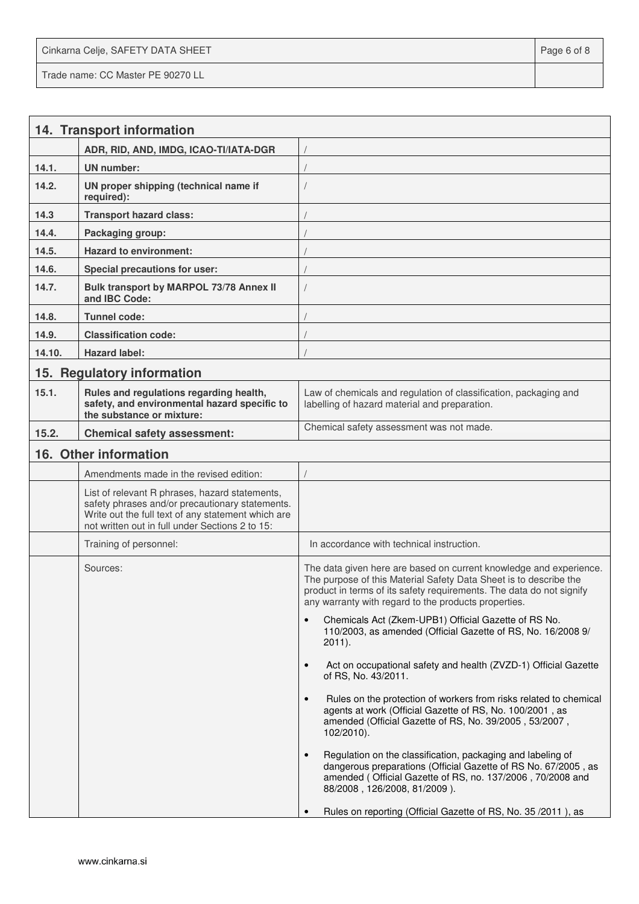Cinkarna Celje, SAFETY DATA SHEET **Page 6 of 8** and 2011 12 and 2012 12 and 2012 12 and 2012 12 and 2012 12 and 201 Trade name: CC Master PE 90270 LL

|        | 14. Transport information                                                                                                                                                                                  |                                                                                                                                                                                                                                                                         |
|--------|------------------------------------------------------------------------------------------------------------------------------------------------------------------------------------------------------------|-------------------------------------------------------------------------------------------------------------------------------------------------------------------------------------------------------------------------------------------------------------------------|
|        | ADR, RID, AND, IMDG, ICAO-TI/IATA-DGR                                                                                                                                                                      |                                                                                                                                                                                                                                                                         |
| 14.1.  | <b>UN</b> number:                                                                                                                                                                                          |                                                                                                                                                                                                                                                                         |
| 14.2.  | UN proper shipping (technical name if<br>required):                                                                                                                                                        |                                                                                                                                                                                                                                                                         |
| 14.3   | <b>Transport hazard class:</b>                                                                                                                                                                             |                                                                                                                                                                                                                                                                         |
| 14.4.  | Packaging group:                                                                                                                                                                                           |                                                                                                                                                                                                                                                                         |
| 14.5.  | <b>Hazard to environment:</b>                                                                                                                                                                              |                                                                                                                                                                                                                                                                         |
| 14.6.  | <b>Special precautions for user:</b>                                                                                                                                                                       |                                                                                                                                                                                                                                                                         |
| 14.7.  | Bulk transport by MARPOL 73/78 Annex II<br>and IBC Code:                                                                                                                                                   |                                                                                                                                                                                                                                                                         |
| 14.8.  | Tunnel code:                                                                                                                                                                                               |                                                                                                                                                                                                                                                                         |
| 14.9.  | <b>Classification code:</b>                                                                                                                                                                                |                                                                                                                                                                                                                                                                         |
| 14.10. | <b>Hazard label:</b>                                                                                                                                                                                       |                                                                                                                                                                                                                                                                         |
| 15.    | <b>Regulatory information</b>                                                                                                                                                                              |                                                                                                                                                                                                                                                                         |
| 15.1.  | Rules and regulations regarding health,<br>safety, and environmental hazard specific to<br>the substance or mixture:                                                                                       | Law of chemicals and regulation of classification, packaging and<br>labelling of hazard material and preparation.                                                                                                                                                       |
| 15.2.  | <b>Chemical safety assessment:</b>                                                                                                                                                                         | Chemical safety assessment was not made.                                                                                                                                                                                                                                |
|        | 16. Other information                                                                                                                                                                                      |                                                                                                                                                                                                                                                                         |
|        | Amendments made in the revised edition:                                                                                                                                                                    |                                                                                                                                                                                                                                                                         |
|        | List of relevant R phrases, hazard statements,<br>safety phrases and/or precautionary statements.<br>Write out the full text of any statement which are<br>not written out in full under Sections 2 to 15: |                                                                                                                                                                                                                                                                         |
|        | Training of personnel:                                                                                                                                                                                     | In accordance with technical instruction.                                                                                                                                                                                                                               |
|        | Sources:                                                                                                                                                                                                   | The data given here are based on current knowledge and experience.<br>The purpose of this Material Safety Data Sheet is to describe the<br>product in terms of its safety requirements. The data do not signify<br>any warranty with regard to the products properties. |
|        |                                                                                                                                                                                                            | Chemicals Act (Zkem-UPB1) Official Gazette of RS No.<br>110/2003, as amended (Official Gazette of RS, No. 16/2008 9/<br>$2011$ ).                                                                                                                                       |
|        |                                                                                                                                                                                                            | Act on occupational safety and health (ZVZD-1) Official Gazette<br>$\bullet$<br>of RS, No. 43/2011.                                                                                                                                                                     |
|        |                                                                                                                                                                                                            | Rules on the protection of workers from risks related to chemical<br>agents at work (Official Gazette of RS, No. 100/2001, as<br>amended (Official Gazette of RS, No. 39/2005, 53/2007,<br>$102/2010$ ).                                                                |
|        |                                                                                                                                                                                                            | Regulation on the classification, packaging and labeling of<br>dangerous preparations (Official Gazette of RS No. 67/2005, as<br>amended (Official Gazette of RS, no. 137/2006, 70/2008 and<br>88/2008, 126/2008, 81/2009).                                             |
|        |                                                                                                                                                                                                            | Rules on reporting (Official Gazette of RS, No. 35/2011), as                                                                                                                                                                                                            |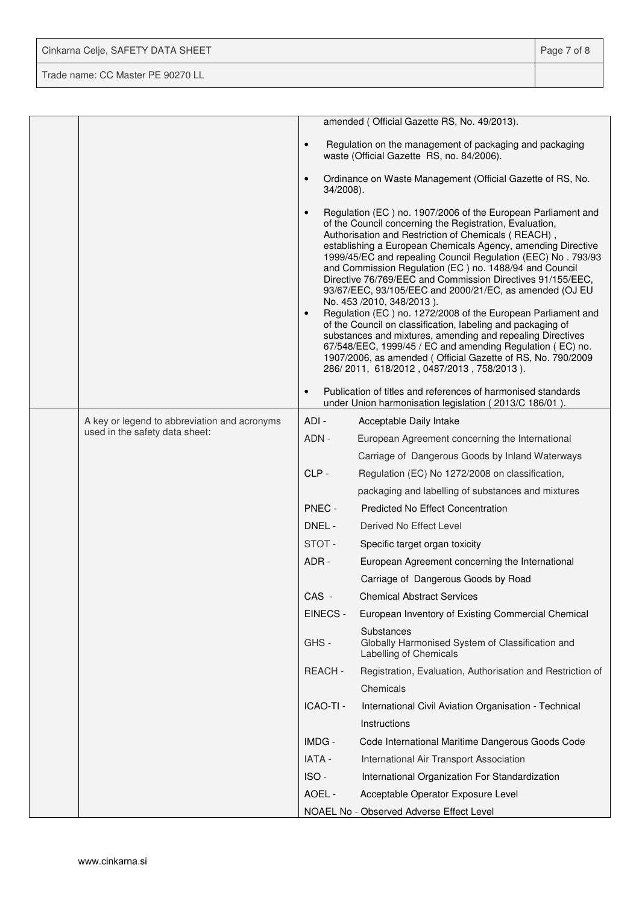| Cinkarna Celje, SAFETY DATA SHEET | Page 7 of 8 |
|-----------------------------------|-------------|
| Trade name: CC Master PE 90270 LL |             |

|  |                                              |                        | amended (Official Gazette RS, No. 49/2013).                                                                                                                                                                                                                                                                                                                                                                                                                                                                                                                                                                                                                                                                                                                                                                                                                                                          |
|--|----------------------------------------------|------------------------|------------------------------------------------------------------------------------------------------------------------------------------------------------------------------------------------------------------------------------------------------------------------------------------------------------------------------------------------------------------------------------------------------------------------------------------------------------------------------------------------------------------------------------------------------------------------------------------------------------------------------------------------------------------------------------------------------------------------------------------------------------------------------------------------------------------------------------------------------------------------------------------------------|
|  |                                              | $\bullet$              | Regulation on the management of packaging and packaging<br>waste (Official Gazette RS, no. 84/2006).                                                                                                                                                                                                                                                                                                                                                                                                                                                                                                                                                                                                                                                                                                                                                                                                 |
|  |                                              | $\bullet$<br>34/2008). | Ordinance on Waste Management (Official Gazette of RS, No.                                                                                                                                                                                                                                                                                                                                                                                                                                                                                                                                                                                                                                                                                                                                                                                                                                           |
|  |                                              | $\bullet$<br>$\bullet$ | Regulation (EC) no. 1907/2006 of the European Parliament and<br>of the Council concerning the Registration, Evaluation,<br>Authorisation and Restriction of Chemicals (REACH),<br>establishing a European Chemicals Agency, amending Directive<br>1999/45/EC and repealing Council Regulation (EEC) No. 793/93<br>and Commission Regulation (EC) no. 1488/94 and Council<br>Directive 76/769/EEC and Commission Directives 91/155/EEC,<br>93/67/EEC, 93/105/EEC and 2000/21/EC, as amended (OJ EU<br>No. 453 /2010, 348/2013).<br>Regulation (EC) no. 1272/2008 of the European Parliament and<br>of the Council on classification, labeling and packaging of<br>substances and mixtures, amending and repealing Directives<br>67/548/EEC, 1999/45 / EC and amending Regulation (EC) no.<br>1907/2006, as amended (Official Gazette of RS, No. 790/2009<br>286/2011, 618/2012, 0487/2013, 758/2013). |
|  |                                              | $\bullet$              | Publication of titles and references of harmonised standards<br>under Union harmonisation legislation (2013/C 186/01).                                                                                                                                                                                                                                                                                                                                                                                                                                                                                                                                                                                                                                                                                                                                                                               |
|  | A key or legend to abbreviation and acronyms | ADI-                   | Acceptable Daily Intake                                                                                                                                                                                                                                                                                                                                                                                                                                                                                                                                                                                                                                                                                                                                                                                                                                                                              |
|  | used in the safety data sheet:               | ADN -                  | European Agreement concerning the International                                                                                                                                                                                                                                                                                                                                                                                                                                                                                                                                                                                                                                                                                                                                                                                                                                                      |
|  |                                              |                        | Carriage of Dangerous Goods by Inland Waterways                                                                                                                                                                                                                                                                                                                                                                                                                                                                                                                                                                                                                                                                                                                                                                                                                                                      |
|  |                                              | CLP-                   | Regulation (EC) No 1272/2008 on classification,                                                                                                                                                                                                                                                                                                                                                                                                                                                                                                                                                                                                                                                                                                                                                                                                                                                      |
|  |                                              |                        | packaging and labelling of substances and mixtures                                                                                                                                                                                                                                                                                                                                                                                                                                                                                                                                                                                                                                                                                                                                                                                                                                                   |
|  |                                              | PNEC -                 | <b>Predicted No Effect Concentration</b>                                                                                                                                                                                                                                                                                                                                                                                                                                                                                                                                                                                                                                                                                                                                                                                                                                                             |
|  |                                              | DNEL -                 | Derived No Effect Level                                                                                                                                                                                                                                                                                                                                                                                                                                                                                                                                                                                                                                                                                                                                                                                                                                                                              |
|  |                                              | STOT-                  | Specific target organ toxicity                                                                                                                                                                                                                                                                                                                                                                                                                                                                                                                                                                                                                                                                                                                                                                                                                                                                       |
|  |                                              | ADR -                  | European Agreement concerning the International                                                                                                                                                                                                                                                                                                                                                                                                                                                                                                                                                                                                                                                                                                                                                                                                                                                      |
|  |                                              |                        | Carriage of Dangerous Goods by Road                                                                                                                                                                                                                                                                                                                                                                                                                                                                                                                                                                                                                                                                                                                                                                                                                                                                  |
|  |                                              | CAS -                  | <b>Chemical Abstract Services</b>                                                                                                                                                                                                                                                                                                                                                                                                                                                                                                                                                                                                                                                                                                                                                                                                                                                                    |
|  |                                              | EINECS -               | European Inventory of Existing Commercial Chemical                                                                                                                                                                                                                                                                                                                                                                                                                                                                                                                                                                                                                                                                                                                                                                                                                                                   |
|  |                                              | GHS-                   | Substances<br>Globally Harmonised System of Classification and<br>Labelling of Chemicals                                                                                                                                                                                                                                                                                                                                                                                                                                                                                                                                                                                                                                                                                                                                                                                                             |
|  |                                              | REACH-                 | Registration, Evaluation, Authorisation and Restriction of                                                                                                                                                                                                                                                                                                                                                                                                                                                                                                                                                                                                                                                                                                                                                                                                                                           |
|  |                                              |                        | Chemicals                                                                                                                                                                                                                                                                                                                                                                                                                                                                                                                                                                                                                                                                                                                                                                                                                                                                                            |
|  |                                              | ICAO-TI -              | International Civil Aviation Organisation - Technical                                                                                                                                                                                                                                                                                                                                                                                                                                                                                                                                                                                                                                                                                                                                                                                                                                                |
|  |                                              |                        | Instructions                                                                                                                                                                                                                                                                                                                                                                                                                                                                                                                                                                                                                                                                                                                                                                                                                                                                                         |
|  |                                              | IMDG -                 | Code International Maritime Dangerous Goods Code                                                                                                                                                                                                                                                                                                                                                                                                                                                                                                                                                                                                                                                                                                                                                                                                                                                     |
|  |                                              | <b>IATA -</b>          | International Air Transport Association                                                                                                                                                                                                                                                                                                                                                                                                                                                                                                                                                                                                                                                                                                                                                                                                                                                              |
|  |                                              | ISO-                   | International Organization For Standardization                                                                                                                                                                                                                                                                                                                                                                                                                                                                                                                                                                                                                                                                                                                                                                                                                                                       |
|  |                                              | AOEL -                 | Acceptable Operator Exposure Level                                                                                                                                                                                                                                                                                                                                                                                                                                                                                                                                                                                                                                                                                                                                                                                                                                                                   |
|  |                                              |                        | NOAEL No - Observed Adverse Effect Level                                                                                                                                                                                                                                                                                                                                                                                                                                                                                                                                                                                                                                                                                                                                                                                                                                                             |